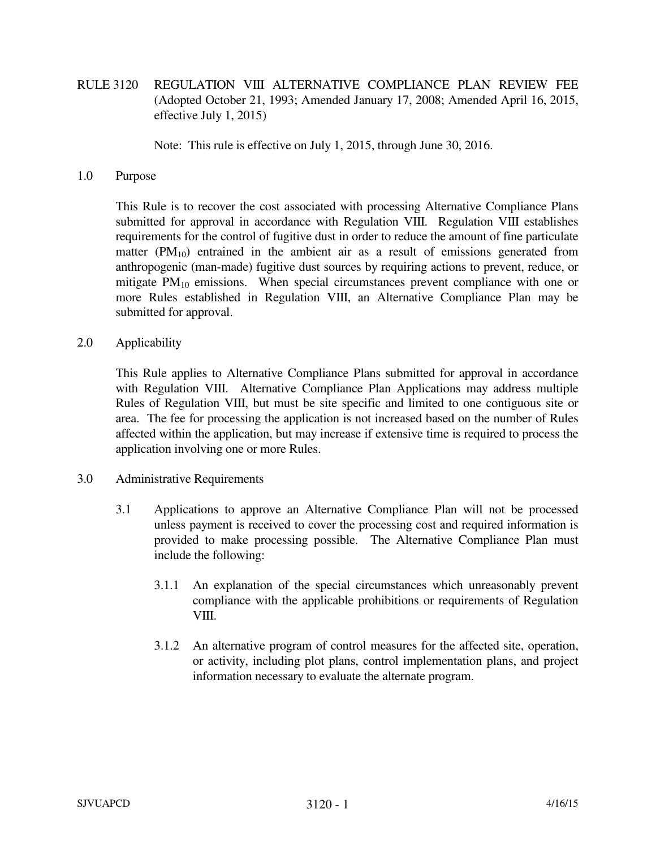RULE 3120 REGULATION VIII ALTERNATIVE COMPLIANCE PLAN REVIEW FEE (Adopted October 21, 1993; Amended January 17, 2008; Amended April 16, 2015, effective July 1, 2015)

Note: This rule is effective on July 1, 2015, through June 30, 2016.

## 1.0 Purpose

 This Rule is to recover the cost associated with processing Alternative Compliance Plans submitted for approval in accordance with Regulation VIII. Regulation VIII establishes requirements for the control of fugitive dust in order to reduce the amount of fine particulate matter  $(PM_{10})$  entrained in the ambient air as a result of emissions generated from anthropogenic (man-made) fugitive dust sources by requiring actions to prevent, reduce, or mitigate  $PM_{10}$  emissions. When special circumstances prevent compliance with one or more Rules established in Regulation VIII, an Alternative Compliance Plan may be submitted for approval.

2.0 Applicability

 This Rule applies to Alternative Compliance Plans submitted for approval in accordance with Regulation VIII. Alternative Compliance Plan Applications may address multiple Rules of Regulation VIII, but must be site specific and limited to one contiguous site or area. The fee for processing the application is not increased based on the number of Rules affected within the application, but may increase if extensive time is required to process the application involving one or more Rules.

- 3.0 Administrative Requirements
	- 3.1 Applications to approve an Alternative Compliance Plan will not be processed unless payment is received to cover the processing cost and required information is provided to make processing possible. The Alternative Compliance Plan must include the following:
		- 3.1.1 An explanation of the special circumstances which unreasonably prevent compliance with the applicable prohibitions or requirements of Regulation VIII.
		- 3.1.2 An alternative program of control measures for the affected site, operation, or activity, including plot plans, control implementation plans, and project information necessary to evaluate the alternate program.